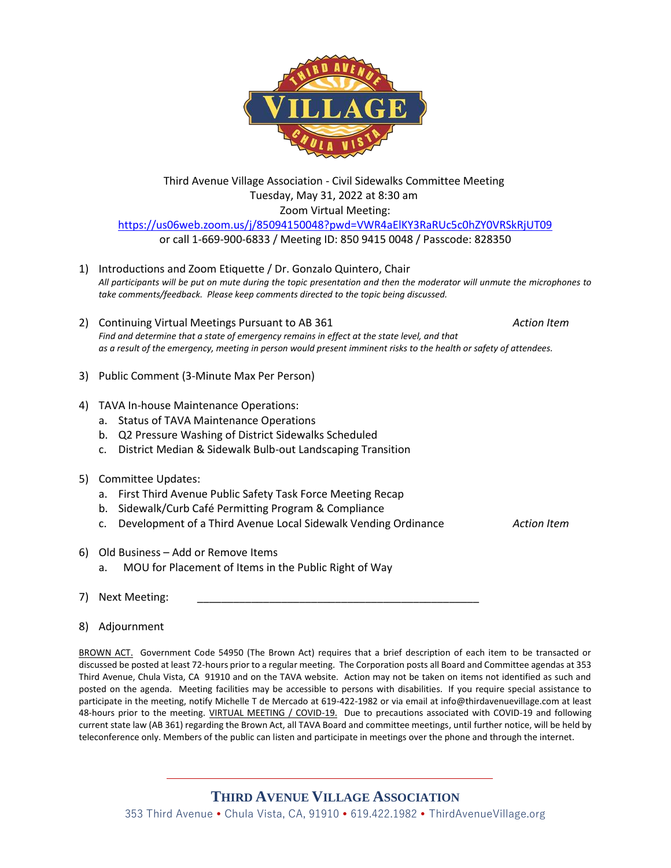#### Third Avenue Village Association - Civil Sidewalks Committee Meeting Tuesday, May 31, 2022 at 8:30 am Zoom Virtual Meeting:

<https://us06web.zoom.us/j/85094150048?pwd=VWR4aElKY3RaRUc5c0hZY0VRSkRjUT09> or call 1-669-900-6833 / Meeting ID: 850 9415 0048 / Passcode: 828350

- 1) Introductions and Zoom Etiquette / Dr. Gonzalo Quintero, Chair *All participants will be put on mute during the topic presentation and then the moderator will unmute the microphones to take comments/feedback. Please keep comments directed to the topic being discussed.*
- 2) Continuing Virtual Meetings Pursuant to AB 361 **Action Item** Action Item *Find and determine that a state of emergency remains in effect at the state level, and that as a result of the emergency, meeting in person would present imminent risks to the health or safety of attendees.*
- 3) Public Comment (3-Minute Max Per Person)
- 4) TAVA In-house Maintenance Operations:
	- a. Status of TAVA Maintenance Operations
	- b. Q2 Pressure Washing of District Sidewalks Scheduled
	- c. District Median & Sidewalk Bulb-out Landscaping Transition
- 5) Committee Updates:
	- a. First Third Avenue Public Safety Task Force Meeting Recap
	- b. Sidewalk/Curb Café Permitting Program & Compliance
	- c. Development of a Third Avenue Local Sidewalk Vending Ordinance *Action Item*
- 6) Old Business Add or Remove Items
	- a. MOU for Placement of Items in the Public Right of Way
- 7) Next Meeting:
- 8) Adjournment

BROWN ACT. Government Code 54950 (The Brown Act) requires that a brief description of each item to be transacted or discussed be posted at least 72-hours prior to a regular meeting. The Corporation posts all Board and Committee agendas at 353 Third Avenue, Chula Vista, CA 91910 and on the TAVA website. Action may not be taken on items not identified as such and posted on the agenda. Meeting facilities may be accessible to persons with disabilities. If you require special assistance to participate in the meeting, notify Michelle T de Mercado at 619-422-1982 or via email at info@thirdavenuevillage.com at least 48-hours prior to the meeting. VIRTUAL MEETING / COVID-19. Due to precautions associated with COVID-19 and following current state law (AB 361) regarding the Brown Act, all TAVA Board and committee meetings, until further notice, will be held by teleconference only. Members of the public can listen and participate in meetings over the phone and through the internet.

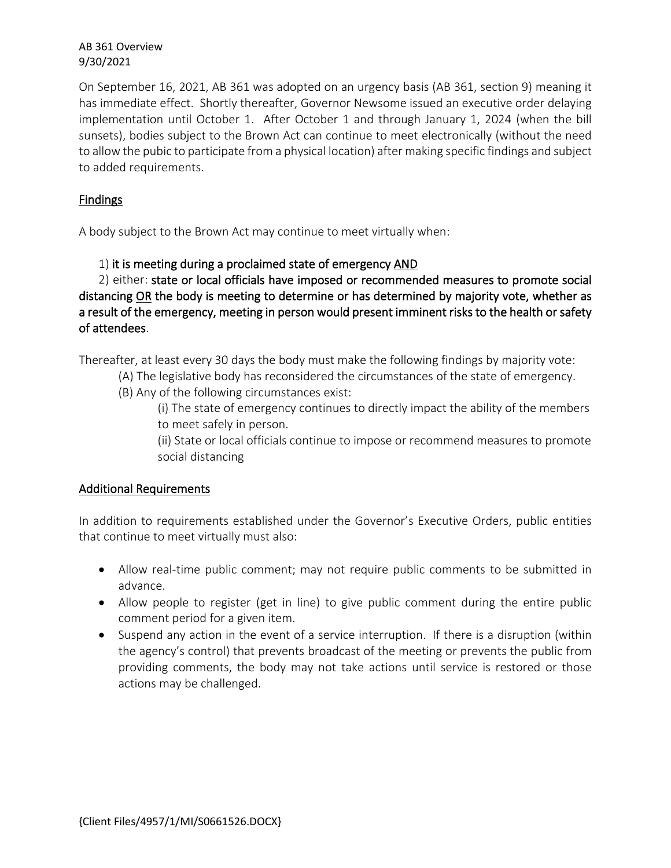#### AB 361 Overview 9/30/2021

On September 16, 2021, AB 361 was adopted on an urgency basis (AB 361, section 9) meaning it has immediate effect. Shortly thereafter, Governor Newsome issued an executive order delaying implementation until October 1. After October 1 and through January 1, 2024 (when the bill sunsets), bodies subject to the Brown Act can continue to meet electronically (without the need to allow the pubic to participate from a physical location) after making specific findings and subject to added requirements.

# Findings

A body subject to the Brown Act may continue to meet virtually when:

## 1) it is meeting during a proclaimed state of emergency AND

2) either: state or local officials have imposed or recommended measures to promote social distancing OR the body is meeting to determine or has determined by majority vote, whether as a result of the emergency, meeting in person would present imminent risks to the health or safety of attendees.

Thereafter, at least every 30 days the body must make the following findings by majority vote:

- (A) The legislative body has reconsidered the circumstances of the state of emergency.
	- (B) Any of the following circumstances exist:
		- (i) The state of emergency continues to directly impact the ability of the members to meet safely in person.

(ii) State or local officials continue to impose or recommend measures to promote social distancing

### Additional Requirements

In addition to requirements established under the Governor's Executive Orders, public entities that continue to meet virtually must also:

- Allow real-time public comment; may not require public comments to be submitted in advance.
- Allow people to register (get in line) to give public comment during the entire public comment period for a given item.
- Suspend any action in the event of a service interruption. If there is a disruption (within the agency's control) that prevents broadcast of the meeting or prevents the public from providing comments, the body may not take actions until service is restored or those actions may be challenged.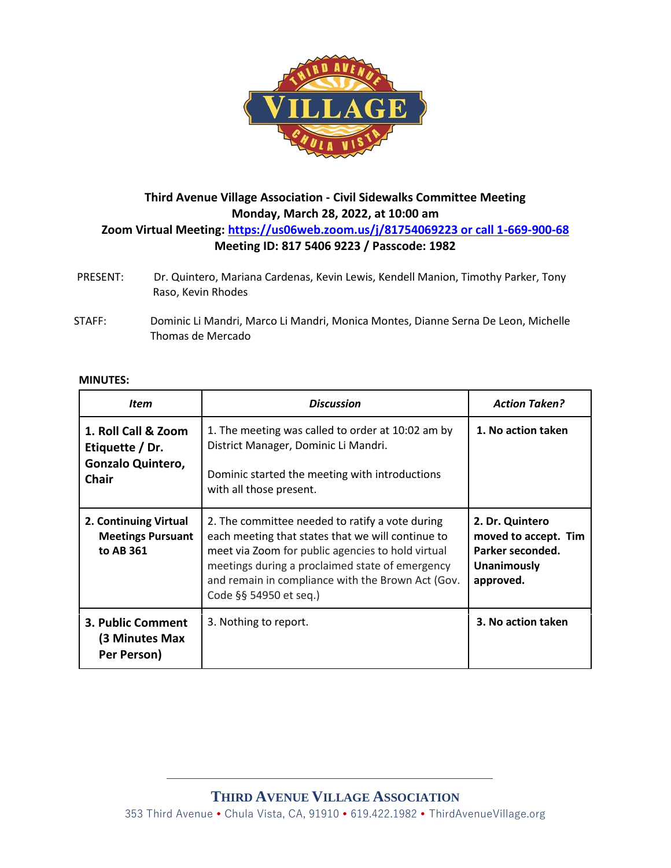

# **Third Avenue Village Association - Civil Sidewalks Committee Meeting Monday, March 28, 2022, at 10:00 am Zoom Virtual Meeting: [https://us06web.zoom.us/j/81754069223 or call 1-669-900-68](https://us06web.zoom.us/j/81754069223%20or%20call%201-669-900-68) Meeting ID: 817 5406 9223 / Passcode: 1982**

- PRESENT: Dr. Quintero, Mariana Cardenas, Kevin Lewis, Kendell Manion, Timothy Parker, Tony Raso, Kevin Rhodes
- STAFF: Dominic Li Mandri, Marco Li Mandri, Monica Montes, Dianne Serna De Leon, Michelle Thomas de Mercado

#### **MINUTES:**

| <b>Item</b>                                                                        | <b>Discussion</b>                                                                                                                                                                                                                                                                           | <b>Action Taken?</b>                                                                    |
|------------------------------------------------------------------------------------|---------------------------------------------------------------------------------------------------------------------------------------------------------------------------------------------------------------------------------------------------------------------------------------------|-----------------------------------------------------------------------------------------|
| 1. Roll Call & Zoom<br>Etiquette / Dr.<br><b>Gonzalo Quintero,</b><br><b>Chair</b> | 1. The meeting was called to order at 10:02 am by<br>District Manager, Dominic Li Mandri.<br>Dominic started the meeting with introductions<br>with all those present.                                                                                                                      | 1. No action taken                                                                      |
| 2. Continuing Virtual<br><b>Meetings Pursuant</b><br>to AB 361                     | 2. The committee needed to ratify a vote during<br>each meeting that states that we will continue to<br>meet via Zoom for public agencies to hold virtual<br>meetings during a proclaimed state of emergency<br>and remain in compliance with the Brown Act (Gov.<br>Code §§ 54950 et seq.) | 2. Dr. Quintero<br>moved to accept. Tim<br>Parker seconded.<br>Unanimously<br>approved. |
| 3. Public Comment<br>(3 Minutes Max<br>Per Person)                                 | 3. Nothing to report.                                                                                                                                                                                                                                                                       | 3. No action taken                                                                      |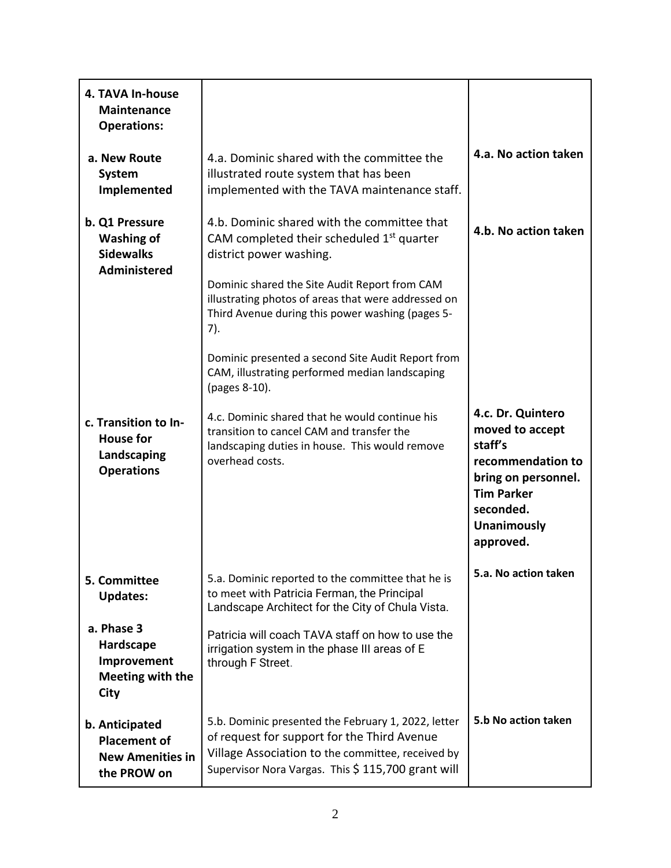| 4. TAVA In-house<br><b>Maintenance</b><br><b>Operations:</b>                    |                                                                                                                                                                                                               |                                                                                                                                                                  |
|---------------------------------------------------------------------------------|---------------------------------------------------------------------------------------------------------------------------------------------------------------------------------------------------------------|------------------------------------------------------------------------------------------------------------------------------------------------------------------|
| a. New Route<br>System<br>Implemented                                           | 4.a. Dominic shared with the committee the<br>illustrated route system that has been<br>implemented with the TAVA maintenance staff.                                                                          | 4.a. No action taken                                                                                                                                             |
| b. Q1 Pressure<br><b>Washing of</b><br><b>Sidewalks</b><br><b>Administered</b>  | 4.b. Dominic shared with the committee that<br>CAM completed their scheduled $1st$ quarter<br>district power washing.                                                                                         | 4.b. No action taken                                                                                                                                             |
|                                                                                 | Dominic shared the Site Audit Report from CAM<br>illustrating photos of areas that were addressed on<br>Third Avenue during this power washing (pages 5-<br>7).                                               |                                                                                                                                                                  |
|                                                                                 | Dominic presented a second Site Audit Report from<br>CAM, illustrating performed median landscaping<br>(pages 8-10).                                                                                          |                                                                                                                                                                  |
| c. Transition to In-<br><b>House for</b><br>Landscaping<br><b>Operations</b>    | 4.c. Dominic shared that he would continue his<br>transition to cancel CAM and transfer the<br>landscaping duties in house. This would remove<br>overhead costs.                                              | 4.c. Dr. Quintero<br>moved to accept<br>staff's<br>recommendation to<br>bring on personnel.<br><b>Tim Parker</b><br>seconded.<br><b>Unanimously</b><br>approved. |
| 5. Committee<br><b>Updates:</b>                                                 | 5.a. Dominic reported to the committee that he is<br>to meet with Patricia Ferman, the Principal<br>Landscape Architect for the City of Chula Vista.                                                          | 5.a. No action taken                                                                                                                                             |
| a. Phase 3<br>Hardscape<br>Improvement<br>Meeting with the<br>City              | Patricia will coach TAVA staff on how to use the<br>irrigation system in the phase III areas of E<br>through F Street.                                                                                        |                                                                                                                                                                  |
| b. Anticipated<br><b>Placement of</b><br><b>New Amenities in</b><br>the PROW on | 5.b. Dominic presented the February 1, 2022, letter<br>of request for support for the Third Avenue<br>Village Association to the committee, received by<br>Supervisor Nora Vargas. This \$ 115,700 grant will | 5.b No action taken                                                                                                                                              |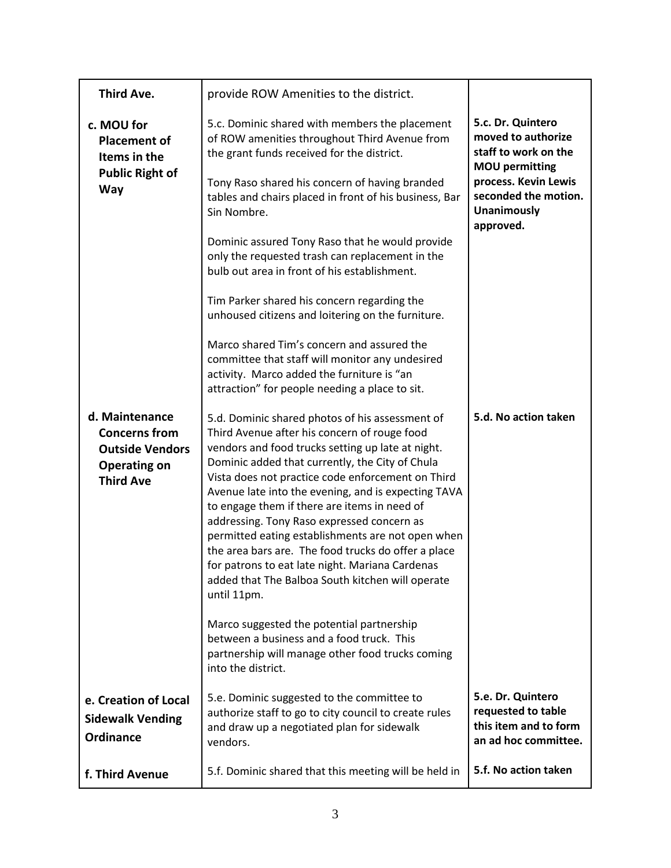| Third Ave.                                                                                                  | provide ROW Amenities to the district.                                                                                                                                                                                                                                                                                                                                                                                                                                                                                                                                                                                                              |                                                                                                                                                                |
|-------------------------------------------------------------------------------------------------------------|-----------------------------------------------------------------------------------------------------------------------------------------------------------------------------------------------------------------------------------------------------------------------------------------------------------------------------------------------------------------------------------------------------------------------------------------------------------------------------------------------------------------------------------------------------------------------------------------------------------------------------------------------------|----------------------------------------------------------------------------------------------------------------------------------------------------------------|
| c. MOU for<br><b>Placement of</b><br>Items in the<br><b>Public Right of</b><br><b>Way</b>                   | 5.c. Dominic shared with members the placement<br>of ROW amenities throughout Third Avenue from<br>the grant funds received for the district.                                                                                                                                                                                                                                                                                                                                                                                                                                                                                                       | 5.c. Dr. Quintero<br>moved to authorize<br>staff to work on the<br><b>MOU</b> permitting<br>process. Kevin Lewis<br>seconded the motion.<br><b>Unanimously</b> |
|                                                                                                             | Tony Raso shared his concern of having branded<br>tables and chairs placed in front of his business, Bar<br>Sin Nombre.                                                                                                                                                                                                                                                                                                                                                                                                                                                                                                                             |                                                                                                                                                                |
|                                                                                                             | Dominic assured Tony Raso that he would provide<br>only the requested trash can replacement in the<br>bulb out area in front of his establishment.                                                                                                                                                                                                                                                                                                                                                                                                                                                                                                  | approved.                                                                                                                                                      |
|                                                                                                             | Tim Parker shared his concern regarding the<br>unhoused citizens and loitering on the furniture.                                                                                                                                                                                                                                                                                                                                                                                                                                                                                                                                                    |                                                                                                                                                                |
|                                                                                                             | Marco shared Tim's concern and assured the<br>committee that staff will monitor any undesired<br>activity. Marco added the furniture is "an<br>attraction" for people needing a place to sit.                                                                                                                                                                                                                                                                                                                                                                                                                                                       |                                                                                                                                                                |
| d. Maintenance<br><b>Concerns from</b><br><b>Outside Vendors</b><br><b>Operating on</b><br><b>Third Ave</b> | 5.d. Dominic shared photos of his assessment of<br>Third Avenue after his concern of rouge food<br>vendors and food trucks setting up late at night.<br>Dominic added that currently, the City of Chula<br>Vista does not practice code enforcement on Third<br>Avenue late into the evening, and is expecting TAVA<br>to engage them if there are items in need of<br>addressing. Tony Raso expressed concern as<br>permitted eating establishments are not open when<br>the area bars are. The food trucks do offer a place<br>for patrons to eat late night. Mariana Cardenas<br>added that The Balboa South kitchen will operate<br>until 11pm. | 5.d. No action taken                                                                                                                                           |
|                                                                                                             | Marco suggested the potential partnership<br>between a business and a food truck. This<br>partnership will manage other food trucks coming<br>into the district.                                                                                                                                                                                                                                                                                                                                                                                                                                                                                    |                                                                                                                                                                |
| e. Creation of Local<br><b>Sidewalk Vending</b><br><b>Ordinance</b>                                         | 5.e. Dominic suggested to the committee to<br>authorize staff to go to city council to create rules<br>and draw up a negotiated plan for sidewalk<br>vendors.                                                                                                                                                                                                                                                                                                                                                                                                                                                                                       | 5.e. Dr. Quintero<br>requested to table<br>this item and to form<br>an ad hoc committee.                                                                       |
| f. Third Avenue                                                                                             | 5.f. Dominic shared that this meeting will be held in                                                                                                                                                                                                                                                                                                                                                                                                                                                                                                                                                                                               | 5.f. No action taken                                                                                                                                           |